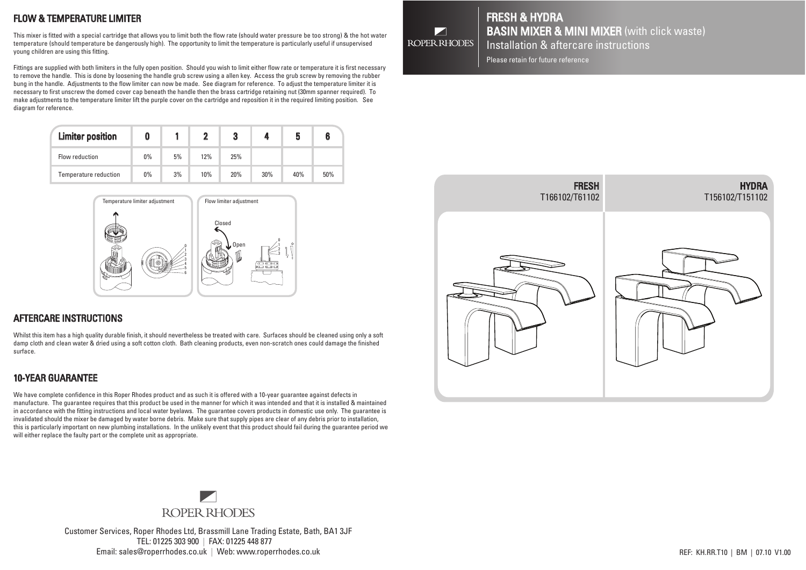# FLOW & TEMPERATURE LIMITER

This mixer is fitted with a special cartridge that allows you to limit both the flow rate (should water pressure be too strong) & the hot water temperature (should temperature be dangerously high). The opportunity to limit the temperature is particularly useful if unsupervised young children are using this fitting.

Fittings are supplied with both limiters in the fully open position. Should you wish to limit either flow rate or temperature it is first necessary to remove the handle. This is done by loosening the handle grub screw using a allen key. Access the grub screw by removing the rubber bung in the handle. Adjustments to the flow limiter can now be made. See diagram for reference. To adjust the temperature limiter it is necessary to first unscrew the domed cover cap beneath the handle then the brass cartridge retaining nut (30mm spanner required). To make adjustments to the temperature limiter lift the purple cover on the cartridge and reposition it in the required limiting position. See diagram for reference.

| <b>Limiter position</b> |       |    |     | 3   |     | 5   |     |
|-------------------------|-------|----|-----|-----|-----|-----|-----|
| Flow reduction          | $0\%$ | 5% | 12% | 25% |     |     |     |
| Temperature reduction   | 0%    | 3% | 10% | 20% | 30% | 40% | 50% |



#### AFTERCARE INSTRUCTIONS AFTER CARE INSTRUCTIONS

Whilst this item has a high quality durable finish, it should nevertheless be treated with care. Surfaces should be cleaned using only a soft damp cloth and clean water & dried using a soft cotton cloth. Bath cleaning products, even non-scratch ones could damage the finished surface.

## 10-YEAR GUARANTEE

We have complete confidence in this Roper Rhodes product and as such it is offered with a 10-year guarantee against defects in manufacture. The guarantee requires that this product be used in the manner for which it was intended and that it is installed & maintained in accordance with the fitting instructions and local water byelaws. The guarantee covers products in domestic use only. The guarantee is invalidated should the mixer be damaged by water borne debris. Make sure that supply pipes are clear of any debris prior to installation, this is particularly important on new plumbing installations. In the unlikely event that this product should fail during the guarantee period we will either replace the faulty part or the complete unit as appropriate.



Customer Services, Roper Rhodes Ltd, Brassmill Lane Trading Estate, Bath, BA1 3JF TEL: 01225 303 900 | FAX: 01225 448 877 Email: sales@roperrhodes.co.uk | Web: www.roperrhodes.co.uk | Web: www.roperrhodes.co.uk | Web: www.roperrhodes.co.uk | Web: www.roperrhodes.co.uk | REF: KH.RR.T10 | BM | 07.10 V1.00



## FRESH & HYDRA **BASIN MIXER & MINI MIXER** (with click waste) Installation & aftercare instructions

Please retain for future reference